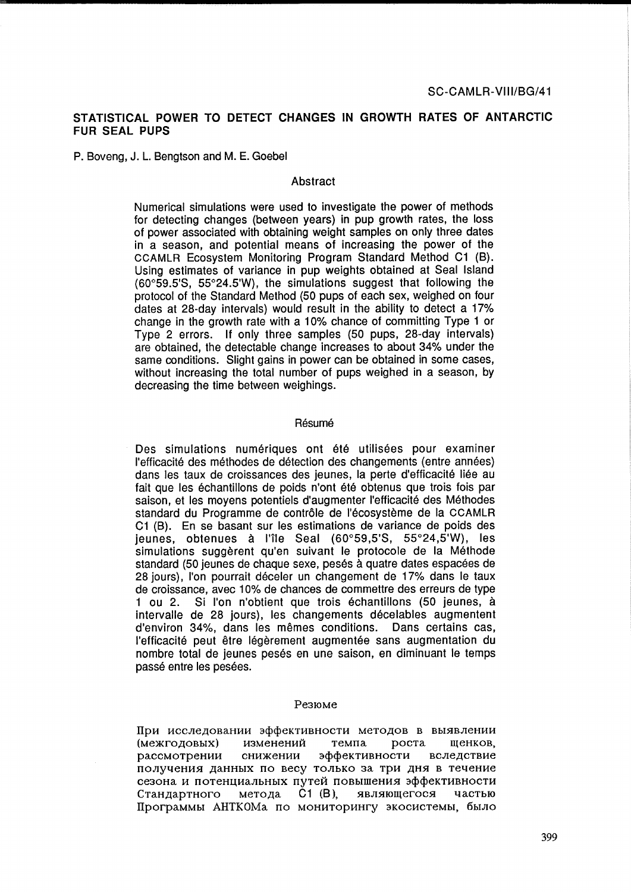# **STATISTICAL POWER TO DETECT CHANGES IN GROWTH RATES OF ANTARCTIC FUR SEAL PUPS**

P. Boveng, J. L. Bengtson and M. E. Goebel

#### Abstract

Numerical simulations were used to investigate the power of methods for detecting changes (between years) in pup growth rates, the loss of power associated with obtaining weight samples on only three dates in a season, and potential means of increasing the power of the CCAMLR Ecosystem Monitoring Program Standard Method C1 (B). Using estimates of variance in pup weights obtained at Seal Island  $(60°59.5'S, 55°24.5'W)$ , the simulations suggest that following the protocol of the Standard Method (50 pups of each sex, weighed on four dates at 28-day intervals) would result in the ability to detect a 17% change in the growth rate with a 10% chance of committing Type 1 or Type 2 errors. If only three samples (50 pups, 28-day intervals) are obtained, the detectable change increases to about 34% under the same conditions. Slight gains in power can be obtained in some cases, without increasing the total number of pups weighed in a season, by decreasing the time between weighings.

## Résumé

Des simulations numériques ont été utilisées pour examiner I'efficacite des methodes de detection des changements (entre annees) dans les taux de croissances des jeunes, la perte d'efficacité liée au fait que les échantillons de poids n'ont été obtenus que trois fois par saison, et les moyens potentiels d'augmenter I'efficacite des Methodes standard du Programme de contrôle de l'écosystème de la CCAMLR C1 (B). En se basant sur les estimations de variance de poids des ieunes, obtenues à l'île Seal (60°59,5'S, 55°24,5'W), les simulations suggèrent qu'en suivant le protocole de la Méthode standard (50 jeunes de chaque sexe, pesés à quatre dates espacées de 28 jours). I'on pourrait déceler un changement de 17% dans le taux de croissance, avec 10% de chances de commettre des erreurs de type 1 ou 2. Si I'on n'obtient que trois echantillons (50 jeunes, a intervalle de 28 jours), les changements décelables augmentent d'environ 34%, dans les mêmes conditions. Dans certains cas, l'efficacité peut être légèrement augmentée sans augmentation du nombre total de jeunes pesés en une saison, en diminuant le temps passé entre les pesées.

### Pe3IOMe

При исследовании эффективности методов в выявлении (межгодовых) изменений темпа роста щенков, рассмотрении снижении эффективности вследствие получения данных по весу только за три дня в течение сезона и потенциальных путей повышения эффективности Стандартного метода С1 (В), являющегося частью Программы АНТКОМа по мониторингу экосистемы, было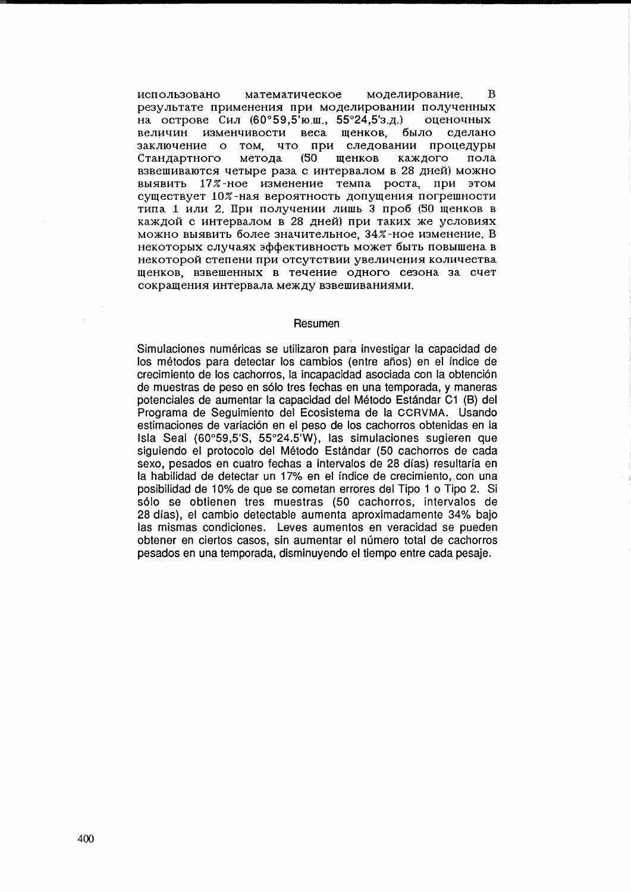использовано математическое моделирование. B результате применения при моделировании полученных на острове Сил (60°59,5'юш., 55°24,5'з.д.) оценочных величин изменчивости веса щенков, было сделано заключение о том, что при следовании процедуры Стандартного метода  $(50)$ шенков каждого пола взвешиваются четыре раза с интервалом в 28 дней) можно выявить 17%-ное изменение темпа роста, при этом существует 10%-ная вероятность допущения погрешности типа 1 или 2. При получении лишь 3 проб (50 щенков в каждой с интервалом в 28 дней) при таких же условиях можно выявить более значительное, 34%-ное изменение. В некоторых случаях эффективность может быть повышена в некоторой степени при отсутствии увеличения количества щенков, взвешенных в течение одного сезона за счет сокрашения интервала между взвешиваниями.

#### Resumen

Simulaciones numéricas se utilizaron para investigar la capacidad de los métodos para detectar los cambios (entre años) en el índice de crecimiento de los cachorros, la incapacidad asociada con la obtención de muestras de peso en sólo tres fechas en una temporada, y maneras potenciales de aumentar la capacidad del Método Estándar C1 (B) del Programa de Seguimiento del Ecosistema de la CCRVMA. Usando estimaciones de variación en el peso de los cachorros obtenidas en la Isla Seal (60°59,5'S, 55°24.5'W), las simulaciones sugieren que siguiendo el protocolo del Método Estándar (50 cachorros de cada sexo, pesados en cuatro fechas a intervalos de 28 días) resultaría en la habilidad de detectar un 17% en el índice de crecimiento, con una posibilidad de 10% de que se cometan errores del Tipo 1 o Tipo 2. Si sólo se obtienen tres muestras (50 cachorros, intervalos de 28 días), el cambio detectable aumenta aproximadamente 34% bajo las mismas condiciones. Leves aumentos en veracidad se pueden obtener en ciertos casos, sin aumentar el número total de cachorros pesados en una temporada, disminuyendo el tiempo entre cada pesaje.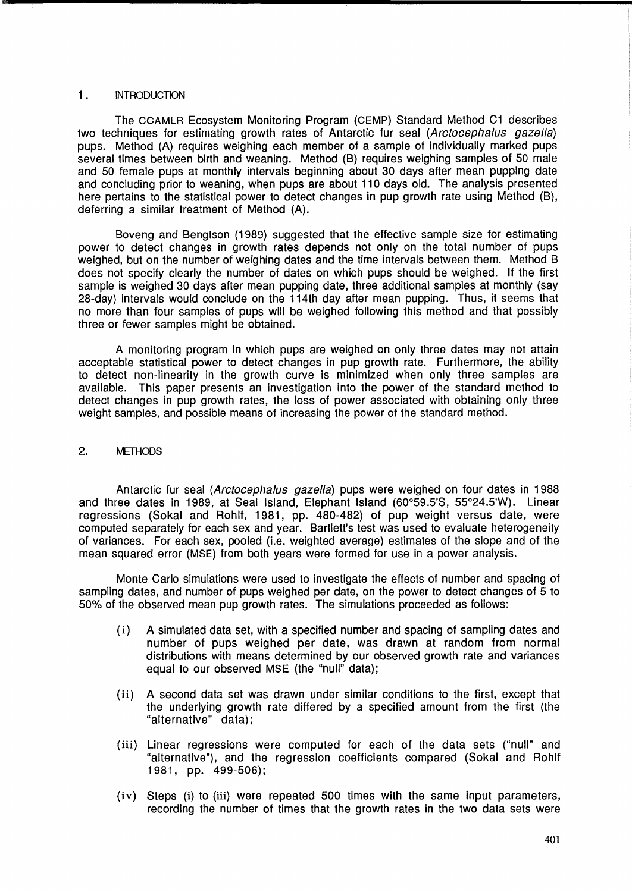## 1. INTRODUCTION

The CCAMLR Ecosystem Monitoring Program (CEMP) Standard Method C1 describes two techniques for estimating growth rates of Antarctic fur seal (Arctocephalus gazella) pups. Method (A) requires weighing each member of a sample of individually marked pups several times between birth and weaning. Method (B) requires weighing samples of 50 male and 50 female pups at monthly intervals beginning about 30 days after mean pupping date and concluding prior to weaning, when pups are about 110 days old. The analysis presented here pertains to the statistical power to detect changes in pup growth rate using Method (B), deferring a similar treatment of Method (A).

Boveng and Bengtson (1989) suggested that the effective sample size for estimating power to detect changes in growth rates depends not only on the total number of pups weighed, but on the number of weighing dates and the time intervals between them. Method B does not specify clearly the number of dates on which pups should be weighed. If the first sample is weighed 30 days after mean pupping date, three additional samples at monthly (say 28-day) intervals would conclude on the 114th day after mean pupping. Thus, it seems that no more than four samples of pups will be weighed following this method and that possibly three or fewer samples might be obtained.

A monitoring program in which pups are weighed on only three dates may not attain acceptable statistical power to detect changes in pup growth rate. Furthermore, the ability to detect non-linearity in the growth curve is minimized when only three samples are available. This paper presents an investigation into the power of the standard method to detect changes in pup growth rates, the loss of power associated with obtaining only three weight samples, and possible means of increasing the power of the standard method.

## 2. METHODS

Antarctic fur seal (Arctocephalus gazella) pups were weighed on four dates in 1988 and three dates in 1989, at Seal Island, Elephant Island  $(60°59.5'S, 55°24.5'W)$ . Linear regressions (Sokal and Rohlf, 1981, pp. 480-482) of pup weight versus date, were computed separately for each sex and year. Bartlett's test was used to evaluate heterogeneity of variances. For each sex, pooled (Le. weighted average) estimates of the slope and of the mean squared error (MSE) from both years were formed for use in a power analysis.

Monte Carlo simulations were used to investigate the effects of number and spacing of sampling dates, and number of pups weighed per date, on the power to detect changes of 5 to 50% of the observed mean pup growth rates. The simulations proceeded as follows:

- (i) A simulated data set, with a specified number and spacing of sampling dates and number of pups weighed per date, was drawn at random from normal distributions with means determined by our observed growth rate and variances equal to our observed MSE (the "null" data);
- (ii) A second data set was drawn under similar conditions to the first, except that the underlying growth rate differed by a specified amount from the first (the "alternative" data);
- (iii) Linear regressions were computed for each of the data sets ("null" and "alternative"), and the regression coefficients compared (Sokal and Rohlf 1 981, pp. 499-506);
- $(iv)$  Steps (i) to (iii) were repeated 500 times with the same input parameters, recording the number of times that the growth rates in the two data sets were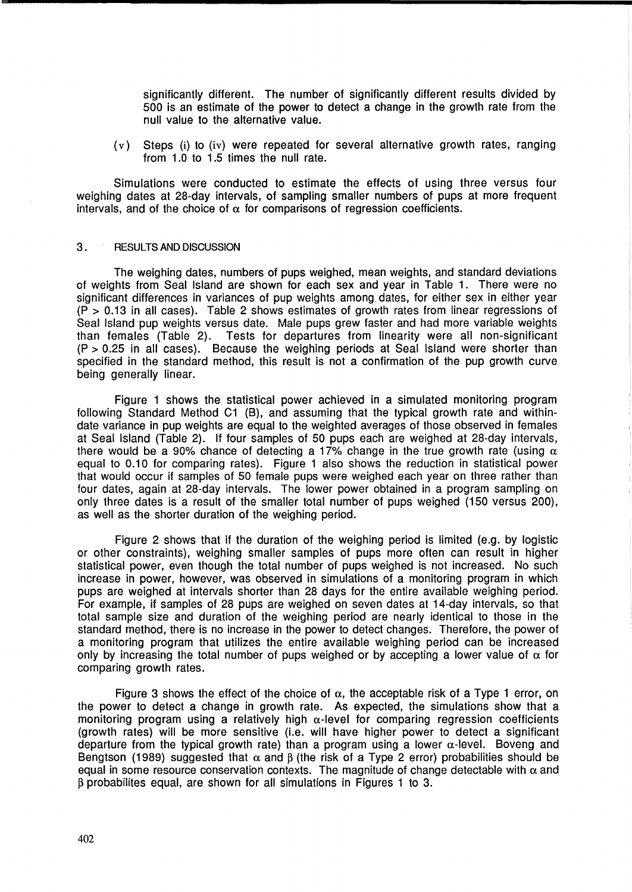significantly different. The number of significantly different results divided by 500 is an estimate of the power to detect a change in the growth rate from the null value to the alternative value.

(v) Steps (i) to (iv) were repeated for several alternative growth rates, ranging from 1.0 to 1.5 times the null rate.

Simulations were conducted to estimate the effects of using three versus four weighing dates at 28-day intervals, of sampling smaller numbers of pups at more frequent intervals, and of the choice of  $\alpha$  for comparisons of regression coefficients.

### 3. RESULTS AND DISCUSSION

The weighing dates, numbers of pups weighed, mean weights, and standard deviations of weights from Seal Island are shown for each sex and year in Table 1. There were no significant differences in variances of pup weights among dates, for either sex in either year  $(P > 0.13$  in all cases). Table 2 shows estimates of growth rates from linear regressions of Seal Island pup weights versus date. Male pups grew faster and had more variable weights than females (Table 2). Tests for departures from linearity were all non-significant (P > 0.25 in all cases). Because the weighing periods at Seal Island were shorter than specified in the standard method, this result is not a confirmation of the pup growth curve being generally linear.

Figure 1 shows the statistical power achieved in a simulated monitoring program following Standard Method C1 (B), and assuming that the typical growth rate and withindate variance in pup weights are equal to the weighted averages of those observed in females at Seal Island (Table 2). If four samples of 50 pups each are weighed at 28-day intervals, there would be a 90% chance of detecting a 17% change in the true growth rate (using  $\alpha$ equal to 0.10 for comparing rates). Figure 1 also shows the reduction in statistical power that would occur if samples of 50 female pups were weighed each year on three rather than four dates, again at 28-day intervals. The lower power obtained in a program sampling on only three dates is a result of the smaller total number of pups weighed (150 versus 200), as well as the shorter duration of the weighing period.

Figure 2 shows that if the duration of the weighing period is limited (e.g. by logistic or other constraints), weighing smaller samples of pups more often can result in higher statistical power, even though the total number of pups weighed is not increased. No such increase in power, however, was observed in simulations of a monitoring program in which pups are weighed at intervals shorter than 28 days for the entire available weighing period. For example, if samples of 28 pups are weighed on seven dates at 14-day intervals, so that total sample size and duration of the weighing period are nearly identical to those in the standard method, there is no increase in the power to detect changes. Therefore, the power of a monitoring program that utilizes the entire available weighing period can be increased only by increasing the total number of pups weighed or by accepting a lower value of  $\alpha$  for comparing growth rates.

Figure 3 shows the effect of the choice of  $\alpha$ , the acceptable risk of a Type 1 error, on the power to detect a change in growth rate. As expected, the simulations show that a monitoring program using a relatively high  $\alpha$ -level for comparing regression coefficients (growth rates) will be more sensitive (i.e. will have higher power to detect a significant departure from the typical growth rate) than a program using a lower  $\alpha$ -level. Boveng and Bengtson (1989) suggested that  $\alpha$  and  $\beta$  (the risk of a Type 2 error) probabilities should be equal in some resource conservation contexts. The magnitude of change detectable with  $\alpha$  and B probabilites equal, are shown for all simulations in Figures 1 to 3.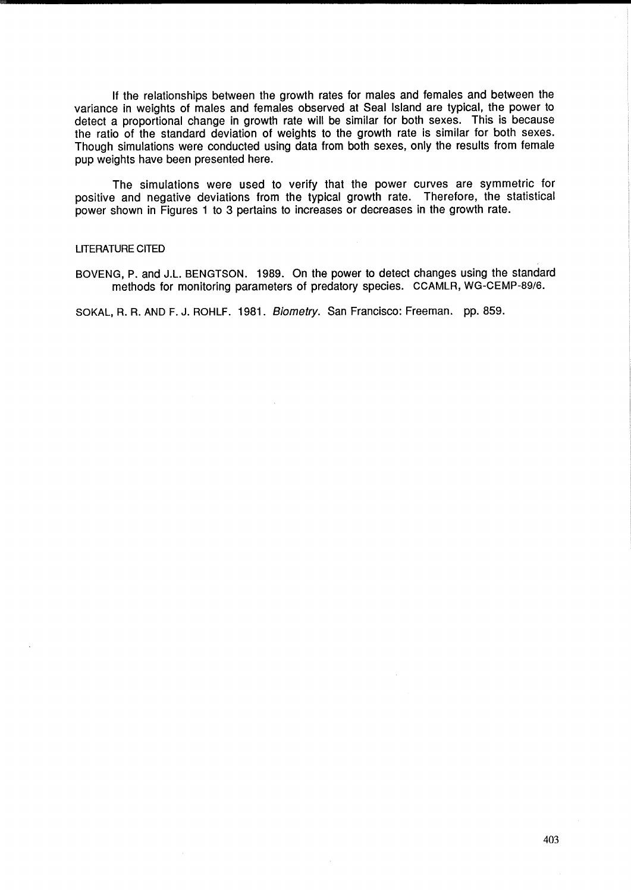If the relationships between the growth rates for males and females and between the variance in weights of males and females observed at Seal Island are typical, the power to detect a proportional change in growth rate will be similar for both sexes. This is because the ratio of the standard deviation of weights to the growth rate is similar for both sexes. Though simulations were conducted using data from both sexes, only the results from female pup weights have been presented here.

The simulations were used to verify that the power curves are symmetric for positive and negative deviations from the typical growth rate. Therefore, the statistical power shown in Figures 1 to 3 pertains to increases or decreases in the growth rate.

### LITERATURE CITED

BOVENG, P. and J.L. BENGTSON. 1989. On the power to detect changes using the standard methods for monitoring parameters of predatory species. CCAMLR, WG-CEMP-89/S.

SOKAL, R. R. AND F. J. ROHLF. 1981. Biometry. San Francisco: Freeman. pp. 859.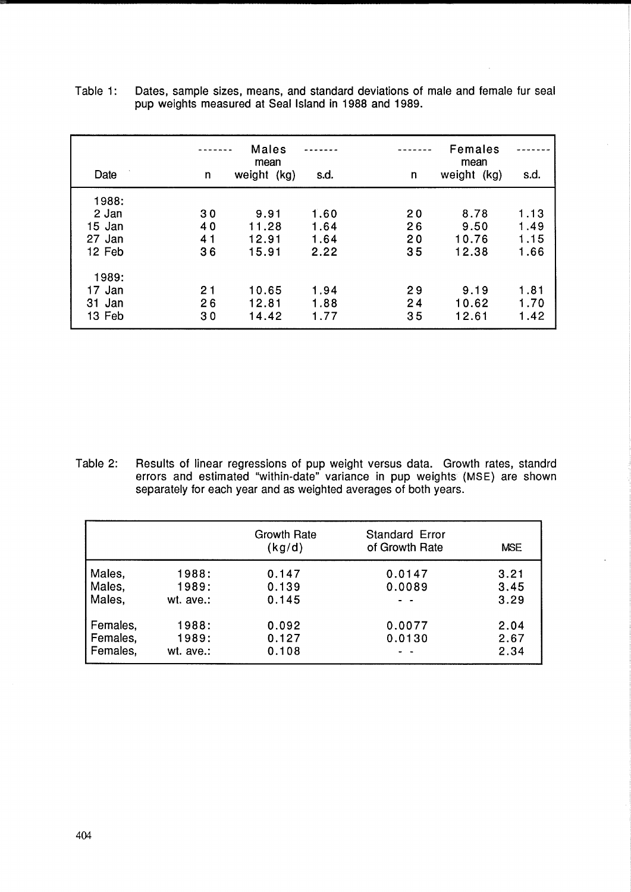| Date                                         | n                    | <b>Males</b><br>mean<br>weight (kg) | s.d.                         | n                           | <b>Females</b><br>mean<br>weight (kg) | s.d.                         |
|----------------------------------------------|----------------------|-------------------------------------|------------------------------|-----------------------------|---------------------------------------|------------------------------|
| 1988:<br>2 Jan<br>15 Jan<br>27 Jan<br>12 Feb | 30<br>40<br>41<br>36 | 9.91<br>11.28<br>12.91<br>15.91     | 1.60<br>1.64<br>1.64<br>2.22 | <b>20</b><br>26<br>20<br>35 | 8.78<br>9.50<br>10.76<br>12.38        | 1.13<br>1.49<br>1.15<br>1.66 |
| 1989:<br>17 Jan<br>31 Jan<br>13 Feb          | 21<br>26<br>30       | 10.65<br>12.81<br>14.42             | 1.94<br>1.88<br>1.77         | 29<br>24<br>35              | 9.19<br>10.62<br>12.61                | 1.81<br>1.70<br>1.42         |

| Table 1: | Dates, sample sizes, means, and standard deviations of male and female fur seal |
|----------|---------------------------------------------------------------------------------|
|          | pup weights measured at Seal Island in 1988 and 1989.                           |

Table 2: Results of linear regressions of pup weight versus data. Growth rates, standrd errors and estimated "within-date" variance in pup weights (MSE) are shown separately for each year and as weighted averages of both years.

|          |           | Growth Rate<br>(kg/d) | <b>Standard Error</b><br>of Growth Rate | <b>MSE</b> |
|----------|-----------|-----------------------|-----------------------------------------|------------|
| Males,   | 1988:     | 0.147                 | 0.0147                                  | 3.21       |
| Males,   | 1989:     | 0.139                 | 0.0089                                  | 3.45       |
| Males,   | wt. ave.: | 0.145                 |                                         | 3.29       |
| Females, | 1988:     | 0.092                 | 0.0077                                  | 2.04       |
| Females, | 1989:     | 0.127                 | 0.0130                                  | 2.67       |
| Females. | wt. ave.: | 0.108                 |                                         | 2.34       |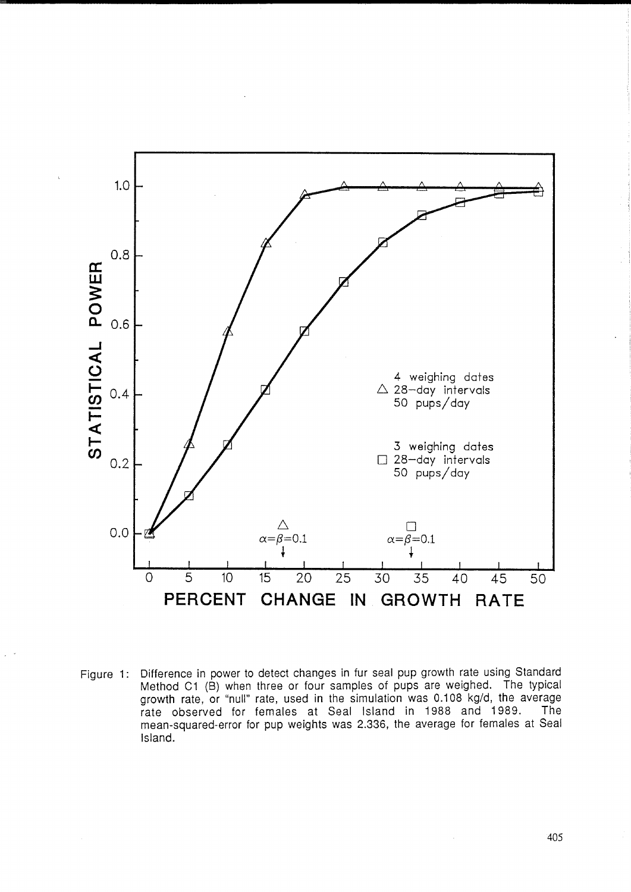

Figure 1: Difference in power to detect changes in fur seal pup growth rate using Standard Method C1 (B) when three or four samples of pups are weighed. The typical growth rate, or "null" rate, used in the simulation was 0.108 kg/d, the average rate observed for females at Seal Island in 1988 and 1989. The mean-squared-error for pup weights was 2.336, the average for females at Seal Island.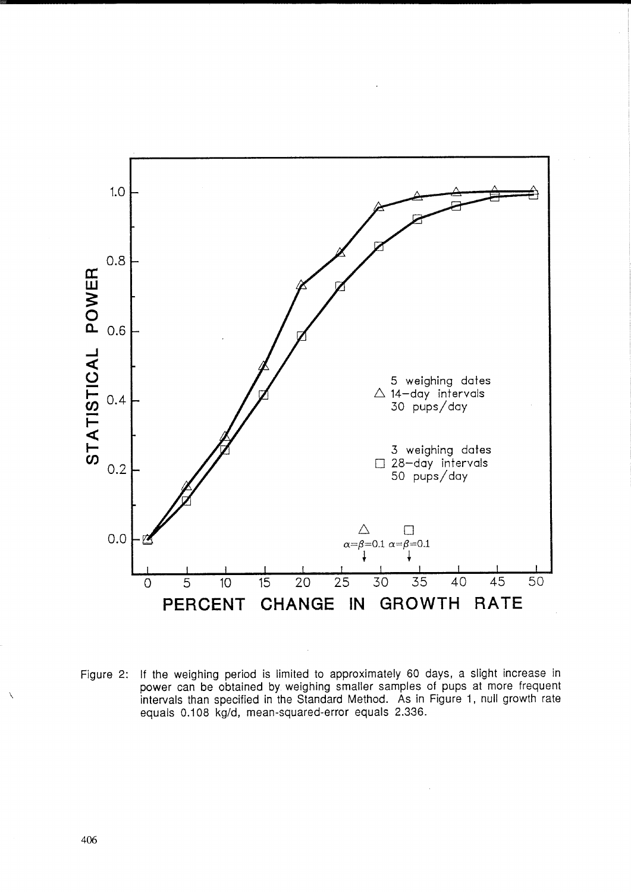

Figure 2: If the weighing period is limited to approximately 60 days, a slight increase in power can be obtained by weighing smaller samples of pups at more frequent intervals than specified in the Standard Method. As in Figure 1, null growth rate equals 0.108 kg/d, mean-squared-error equals 2.336.

 $\backslash$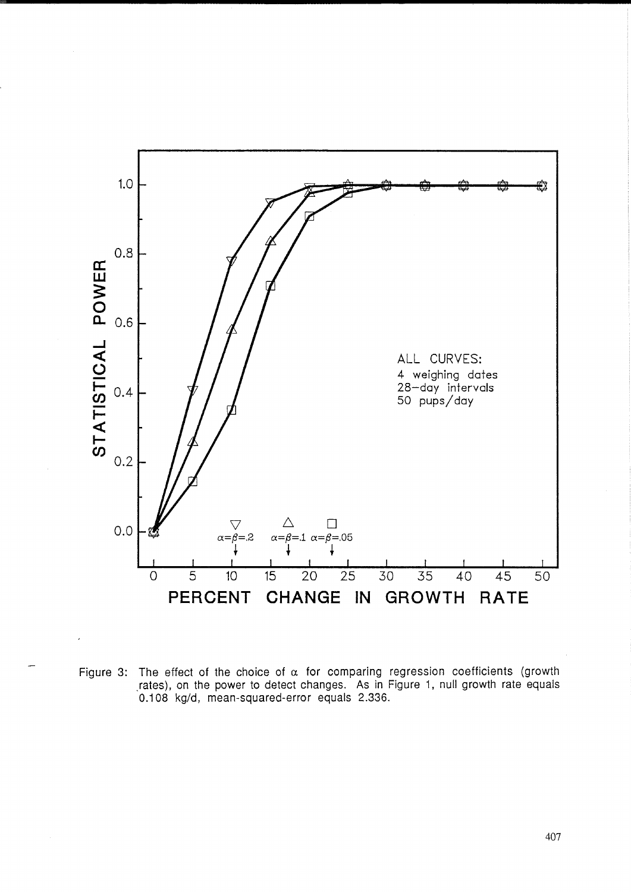![](_page_8_Figure_0.jpeg)

Figure 3: The effect of the choice of  $\alpha$  for comparing regression coefficients (growth rates), on the power to detect changes. As in Figure 1, null growth rate equals 0.108 kg/d, mean-squared-error equals 2.336.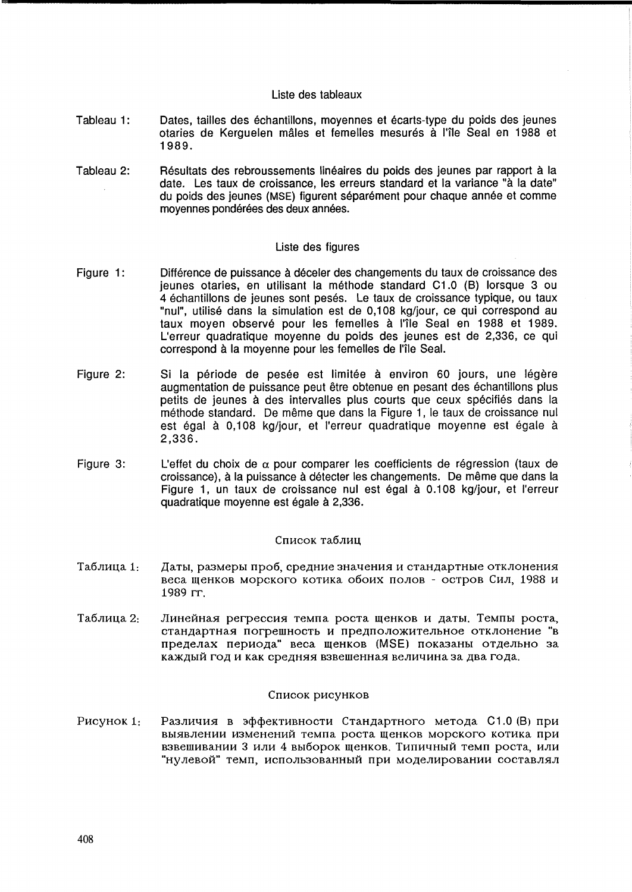## Liste des tableaux

- Tableau 1: Dates, tailles des échantillons, moyennes et écarts-type du poids des jeunes otaries de Kerguelen mâles et femelles mesurés à l'île Seal en 1988 et 1989.
- Tableau 2: Résultats des rebroussements linéaires du poids des jeunes par rapport à la date. Les taux de croissance, les erreurs standard et la variance "à la date" du poids des jeunes (MSE) figurent séparément pour chaque année et comme moyennes pondérées des deux années.

## Liste des figures

- Figure 1: Différence de puissance à déceler des changements du taux de croissance des jeunes otaries, en utilisant la methode standard C1.0 (8) lorsque 3 ou 4 échantillons de jeunes sont pesés. Le taux de croissance typique, ou taux "nul", utilise dans la simulation est de 0,108 kg/jour, ce qui correspond au taux moyen observé pour les femelles à l'île Seal en 1988 et 1989. L'erreur quadratique moyenne du poids des jeunes est de 2,336, ce qui correspond à la moyenne pour les femelles de l'île Seal.
- Figure 2: Si la période de pesée est limitée à environ 60 jours, une légère augmentation de puissance peut être obtenue en pesant des échantillons plus petits de jeunes à des intervalles plus courts que ceux spécifiés dans la methode standard. De meme que dans la Figure 1, le taux de croissance nul est égal à 0.108 kg/jour, et l'erreur quadratique moyenne est égale à 2,336.
- Figure 3: L'effet du choix de  $\alpha$  pour comparer les coefficients de régression (taux de croissance), a la puissance a detecter les changements. De meme que dans la Figure 1, un taux de croissance nul est égal à 0.108 kg/jour, et l'erreur quadratique moyenne est égale à 2,336.

#### Список таблиц

- Таблица 1: Даты, размеры проб, средние значения и стандартные отклонения веса шенков морского котика обоих полов - остров Сил, 1988 и 1989 rr.
- Таблица 2: Линейная регрессия темпа роста щенков и даты. Темпы роста, стандартная погрешность и предположительное отклонение "в пределах периода" веса щенков (MSE) показаны отдельно за Каждый год и как средняя взвешенная величина за два года.

### Список рисунков

P<sub>HC</sub>y<sub>HOK</sub> 1: Различия в эффективности Стандартного метода С1.0 (В) при выявлении изменений темпа роста щенков морского котика при взвешивании 3 или 4 выборок щенков. Типичный темп роста, или "нулевой" темп, использованный при моделировании составлял